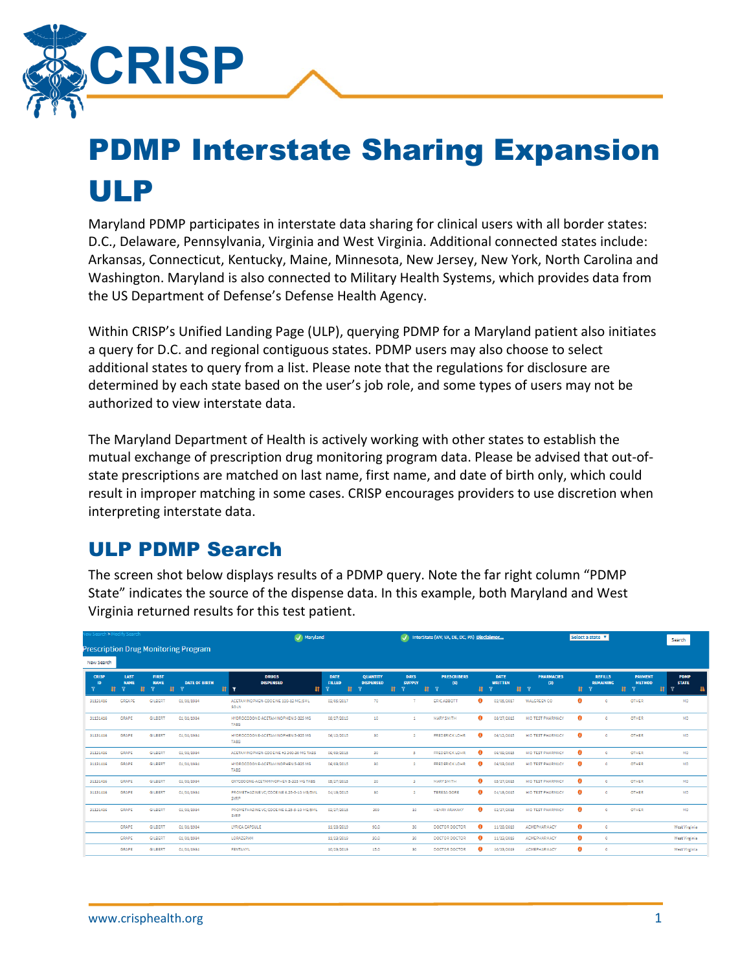

## PDMP Interstate Sharing Expansion ULP

Maryland PDMP participates in interstate data sharing for clinical users with all border states: D.C., Delaware, Pennsylvania, Virginia and West Virginia. Additional connected states include: Arkansas, Connecticut, Kentucky, Maine, Minnesota, New Jersey, New York, North Carolina and Washington. Maryland is also connected to Military Health Systems, which provides data from the US Department of Defense's Defense Health Agency.

Within CRISP's Unified Landing Page (ULP), querying PDMP for a Maryland patient also initiates a query for D.C. and regional contiguous states. PDMP users may also choose to select additional states to query from a list. Please note that the regulations for disclosure are determined by each state based on the user's job role, and some types of users may not be authorized to view interstate data.

The Maryland Department of Health is actively working with other states to establish the mutual exchange of prescription drug monitoring program data. Please be advised that out-ofstate prescriptions are matched on last name, first name, and date of birth only, which could result in improper matching in some cases. CRISP encourages providers to use discretion when interpreting interstate data.

## ULP PDMP Search

The screen shot below displays results of a PDMP query. Note the far right column "PDMP State" indicates the source of the dispense data. In this example, both Maryland and West Virginia returned results for this test patient.

| lew Search > Modify Search |                                        |                                          |                                             | V Maryland                                        | $\mathbf{v}$                       | InterState (WV, VA, DE, DC, PA) Disclaimer                     |                                         |                                                        | Select a state ▼ | Search                 |                                      |           |                                    |                                                              |                                         |
|----------------------------|----------------------------------------|------------------------------------------|---------------------------------------------|---------------------------------------------------|------------------------------------|----------------------------------------------------------------|-----------------------------------------|--------------------------------------------------------|------------------|------------------------|--------------------------------------|-----------|------------------------------------|--------------------------------------------------------------|-----------------------------------------|
|                            |                                        |                                          | <b>Prescription Drug Monitoring Program</b> |                                                   |                                    |                                                                |                                         |                                                        |                  |                        |                                      |           |                                    |                                                              |                                         |
| New Search                 |                                        |                                          |                                             |                                                   |                                    |                                                                |                                         |                                                        |                  |                        |                                      |           |                                    |                                                              |                                         |
| <b>CRISP</b><br>ID<br>n    | <b>LAST</b><br><b>NAME</b><br><b>Y</b> | <b>FIRST</b><br><b>NAME</b><br>a.<br>- 7 | <b>DATE OF BIRTH</b><br>$II$ $V$            | <b>DRUGS</b><br><b>DISPENSED</b><br>u.<br>T       | <b>DATE</b><br><b>FILLED</b><br>u. | <b>QUANTITY</b><br><b>DISPENSED</b><br>$\overline{\mathbf{Y}}$ | <b>DAYS</b><br><b>SUPPLY</b><br>$H$ $V$ | <b>PRESCRIBERS</b><br>(6)<br>$\mathbf{H}$ $\mathbf{Y}$ | $II$ $V$         | DATE<br><b>WRITTEN</b> | <b>PHARMACIES</b><br>(3)<br>$II$ $V$ | $H$ $V$   | <b>REFILLS</b><br><b>REMAINING</b> | <b>PAYMENT</b><br><b>METHOD</b><br>$\mathbf{H}$ $\mathbf{V}$ | <b>PDMP</b><br><b>STATE</b><br>Y.<br>n. |
| 31131416                   | <b>GREAPE</b>                          | <b>GILBERT</b>                           | 01/01/1984                                  | ACETAMINOPHEN-CODEINE 120-12 MG/5ML<br>SOLN       | 02/05/2017                         | 70                                                             | $\mathbf{z}$                            | <b>ERIC ABBOTT</b>                                     | ø                | 02/05/2017             | <b>WALGREEN CO</b>                   | $\bullet$ | <b>n</b>                           | <b>OTHER</b>                                                 | <b>MD</b>                               |
| 31131416                   | <b>GRAPE</b>                           | <b>GILBERT</b>                           | 01/01/1984                                  | HYDROCODONE-ACETAMINOPHEN 5-325 MG<br>TABS        | 08/27/2015                         | 10                                                             |                                         | <b>MARY SMITH</b>                                      | ø                | 08/27/2015             | HID TEST PHARMACY                    | $\bf{0}$  | $\Omega$                           | <b>OTHER</b>                                                 | <b>MD</b>                               |
| 31131416                   | <b>GRAPE</b>                           | <b>GILBERT</b>                           | 01/01/1984                                  | HYDROCODONE-ACETAMINOPHEN 5-325 MG<br>TABS        | 06/12/2015                         | 30                                                             | $\overline{2}$                          | <b>FREDERICK LOHR</b>                                  | 0                | 06/12/2015             | HID TEST PHARMACY                    | $\bullet$ | -n                                 | <b>OTHER</b>                                                 | <b>MD</b>                               |
| 31131416                   | <b>GRAPE</b>                           | <b>GILBERT</b>                           | 01/01/1984                                  | ACETAMINOPHEN-CODEINE #3 300-30 MG TABS           | 06/09/2015                         | 30                                                             | -5                                      | <b>FREDERICK LOHR</b>                                  | ø                | 06/09/2015             | HID TEST PHARMACY                    | $\bullet$ | $\circ$                            | <b>OTHER</b>                                                 | <b>MD</b>                               |
| 31131416                   | <b>GRAPE</b>                           | GILBERT                                  | 01/01/1984                                  | HYDROCODONE-ACETAMINOPHEN 5-325 MG<br><b>TABS</b> | 06/03/2015                         | 30                                                             | $\overline{2}$                          | <b>FREDERICK LOHR</b>                                  | ø                | 06/03/2015             | HID TEST PHARMACY                    | $\bf{0}$  | $\alpha$                           | <b>OTHER</b>                                                 | <b>MD</b>                               |
| 31131416                   | <b>GRAPE</b>                           | <b>GILBERT</b>                           | 01/01/1984                                  | OXYCODONE-ACETAMINOPHEN 5-325 MG TABS             | 05/27/2015                         | 20                                                             | $\overline{a}$                          | <b>MARY SMITH</b>                                      | $\bf o$          | 05/27/2015             | HID TEST PHARMACY                    | $\bullet$ | $\alpha$                           | <b>OTHER</b>                                                 | <b>MD</b>                               |
| 31131416                   | <b>GRAPE</b>                           | <b>GILBERT</b>                           | 01/01/1984                                  | PROMETHAZINE VC/CODEINE 6.25-5-10 MG/5ML<br>SYRP  | 04/18/2015                         | 80                                                             | $\cdot$                                 | <b>TERESA GORE</b>                                     | ø                | 04/18/2015             | HID TEST PHARMACY                    | $\bullet$ | -a                                 | <b>OTHER</b>                                                 | MD.                                     |
| 31131416                   | <b>GRAPE</b>                           | <b>GILBERT</b>                           | 01/01/1984                                  | PROMETHAZINE VC/CODEINE 6.25-5-10 MG/SML<br>SYRP  | 02/27/2015                         | 300                                                            | 10                                      | <b>HENRY ARAKAKY</b>                                   | $\bf o$          | 02/27/2015             | HID TEST PHARMACY                    | $\bf{0}$  | $\alpha$                           | <b>OTHER</b>                                                 | <b>MD</b>                               |
|                            | <b>GRAPE</b>                           | <b>GILBERT</b>                           | 01/01/1984                                  | <b>LYRICA CAPSULE</b>                             | 11/28/2019                         | 90.0                                                           | 30                                      | <b>DOCTOR DOCTOR</b>                                   | $\bf o$          | 11/28/2019             | <b>ACMEPHARMACY</b>                  | $\bullet$ | -a                                 |                                                              | West Virginia                           |
|                            | <b>GRAPE</b>                           | <b>GILBERT</b>                           | 01/01/1984                                  | LORAZEPAM                                         | 11/23/2019                         | 30.0                                                           | 30                                      | <b>DOCTOR DOCTOR</b>                                   | $\bf o$          | 11/23/2019             | <b>ACMEPHARMACY</b>                  | $\bf o$   | $\circ$                            |                                                              | West Virginia                           |
|                            | <b>GRAPE</b>                           | <b>GILBERT</b>                           | 01/01/1984                                  | <b>FENTANYL</b>                                   | 10/23/2019                         | 15.0                                                           | 30                                      | DOCTOR DOCTOR                                          | A                | 10/23/2019             | <b>ACMEPHARMACY</b>                  | $\bullet$ | ۵                                  |                                                              | West Virginia                           |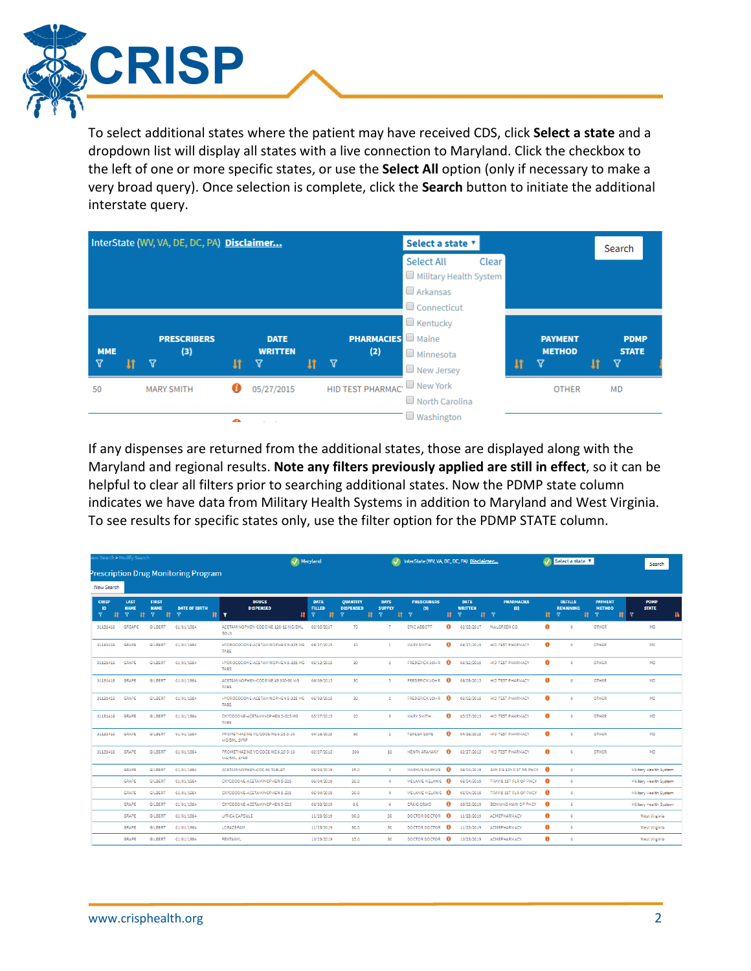

To select additional states where the patient may have received CDS, click **Select a state** and a dropdown list will display all states with a live connection to Maryland. Click the checkbox to the left of one or more specific states, or use the **Select All** option (only if necessary to make a very broad query). Once selection is complete, click the **Search** button to initiate the additional interstate query.

|                 |    | InterState (WV, VA, DE, DC, PA) Disclaimer |                   |                                     | Select a state v |                                | Search                                                                          |    |                                      |    |                                  |
|-----------------|----|--------------------------------------------|-------------------|-------------------------------------|------------------|--------------------------------|---------------------------------------------------------------------------------|----|--------------------------------------|----|----------------------------------|
|                 |    |                                            |                   |                                     |                  |                                | <b>Select All</b><br>Clear<br>Military Health System<br>Arkansas<br>Connecticut |    |                                      |    |                                  |
| <b>MME</b><br>ᡪ | 1t | <b>PRESCRIBERS</b><br>(3)<br>্য            | 1t                | <b>DATE</b><br><b>WRITTEN</b><br>্ব | IJ               | <b>PHARMACIES</b><br>(2)<br>্ব | $\Box$ Kentucky<br>$\Box$ Maine<br>Minnesota<br>New Jersey                      | IJ | <b>PAYMENT</b><br><b>METHOD</b><br>7 | IJ | <b>PDMP</b><br><b>STATE</b><br>7 |
| 50              |    | <b>MARY SMITH</b>                          | O<br>$\mathbf{r}$ | 05/27/2015<br>All Car               |                  | <b>HID TEST PHARMAC'</b>       | $\Box$ New York<br>North Carolina<br>$\Box$ Washington                          |    | <b>OTHER</b>                         |    | MD                               |

If any dispenses are returned from the additional states, those are displayed along with the Maryland and regional results. **Note any filters previously applied are still in effect**, so it can be helpful to clear all filters prior to searching additional states. Now the PDMP state column indicates we have data from Military Health Systems in addition to Maryland and West Virginia. To see results for specific states only, use the filter option for the PDMP STATE column.

| w Search > Modify Search<br>V Maryland |                                        |                                                             |                                                 |                                                         |                            | / InterState (WV, VA, DE, DC, PA) Disclaimer                        |                                                              |                                             |             |                                                               |                                                     |           | V Select a state <b>v</b>                                     |                                                                  |               |                             |  |
|----------------------------------------|----------------------------------------|-------------------------------------------------------------|-------------------------------------------------|---------------------------------------------------------|----------------------------|---------------------------------------------------------------------|--------------------------------------------------------------|---------------------------------------------|-------------|---------------------------------------------------------------|-----------------------------------------------------|-----------|---------------------------------------------------------------|------------------------------------------------------------------|---------------|-----------------------------|--|
|                                        |                                        |                                                             | Prescription Drug Monitoring Program            |                                                         |                            |                                                                     |                                                              |                                             |             |                                                               |                                                     |           |                                                               |                                                                  |               |                             |  |
| New Search                             |                                        |                                                             |                                                 |                                                         |                            |                                                                     |                                                              |                                             |             |                                                               |                                                     |           |                                                               |                                                                  |               |                             |  |
| <b>CRISP</b><br><b>ID</b><br>Ħ<br>Y    | LAST<br><b>NAME</b><br><b>Y</b><br>-11 | <b>FIRST</b><br><b>NAME</b><br>n<br>$\overline{\mathbf{Y}}$ | <b>DATE OF BIRTH</b><br>$\overline{\mathbf{Y}}$ | <b>DRUGS</b><br><b>DISPENSED</b><br>Ⅲ ▼                 | DATE<br><b>FILLED</b><br>Ħ | <b>OUANTITY</b><br><b>DISPENSED</b><br>$\overline{\mathbf{Y}}$<br>n | <b>DAYS</b><br><b>SUPPLY</b><br>$\overline{\mathbf{Y}}$<br>n | <b>PRESCRIBERS</b><br>(9)<br>$\overline{Y}$ | <b>It</b>   | DATE<br><b>WRITTEN</b><br>$\overline{\mathbf{Y}}$<br><b>u</b> | <b>PHARMACIES</b><br>(6)<br>$\overline{\mathbf{Y}}$ | n         | <b>REFILLS</b><br><b>REMAINING</b><br>$\overline{\mathbf{Y}}$ | <b>PAYMENT</b><br><b>METHOD</b><br>a.<br>$\overline{\mathbf{Y}}$ | $   \cdot   $ | <b>PDMP</b><br><b>STATE</b> |  |
| 31131416                               | <b>GREAPE</b>                          | <b>GILBERT</b>                                              | 01/01/1984                                      | ACETAMINOPHEN-CODEINE 120-12 MG/5ML<br>SOLN             | 02/05/2017                 | 70                                                                  | Ŧ.                                                           | <b>ERIC ABBOTT</b>                          | $\bullet$   | 02/05/2017                                                    | <b>WALGREEN CO</b>                                  | $\bf{0}$  | $\theta$                                                      | <b>OTHER</b>                                                     |               | <b>MD</b>                   |  |
| 31131416                               | GRAPE                                  | GILBERT                                                     | 01/01/1984                                      | HYDROCODONE-ACETAMINOPHEN 5-325 MG<br><b>TABS</b>       | 08/27/2015                 | 10                                                                  | $\mathbf{1}$                                                 | MARY SMITH                                  | $\bullet$   | 08/27/2015                                                    | HID TEST PHARMACY                                   | $\bf o$   | $\bullet$                                                     | <b>OTHER</b>                                                     |               | <b>MD</b>                   |  |
| 31131416                               | <b>GRAPE</b>                           | <b>GILBERT</b>                                              | 01/01/1984                                      | HYDROCODONE-ACETAMINOPHEN 5-325 MG<br><b>TABS</b>       | 06/12/2015                 | 30                                                                  | $\overline{a}$                                               | <b>FREDERICK LOHR</b>                       | $\bullet$   | 06/12/2015                                                    | HID TEST PHARMACY                                   | $\bf o$   | $\bullet$                                                     | <b>OTHER</b>                                                     |               | <b>MD</b>                   |  |
| 31131416                               | <b>GRAPE</b>                           | <b>GILBERT</b>                                              | 01/01/1984                                      | ACETAMINOPHEN-CODEINE #3 300-30 MG<br>TARS              | 06/09/2015                 | 30                                                                  | 5                                                            | <b>FREDERICK LOHR</b>                       | $\bullet$   | 06/09/2015                                                    | HID TEST PHARMACY                                   | $\bf{0}$  | $\bullet$                                                     | OTHER                                                            |               | <b>MD</b>                   |  |
| 31131416                               | GRAPE                                  | <b>GILBERT</b>                                              | 01/01/1984                                      | HYDROCODONE-ACETAMINOPHEN 5-325 MG<br><b>TARS</b>       | 06/03/2015                 | 30                                                                  | $\sigma$                                                     | FREDERICK LOHR                              | $\bullet$   | 06/03/2015                                                    | HID TEST PHARMACY                                   | $\bf{0}$  | $\alpha$                                                      | OTHER                                                            |               | <b>MD</b>                   |  |
| 31131416                               | <b>GRAPE</b>                           | <b>GILBERT</b>                                              | 01/01/1984                                      | OXYCODONE-ACETAMINOPHEN 5-325 MG<br><b>TABS</b>         | 05/27/2015                 | 20                                                                  | $\overline{a}$                                               | <b>MARY SMITH</b>                           | $\bf o$     | 05/27/2015                                                    | HID TEST PHARMACY                                   | $\bf o$   | $\circ$                                                       | <b>OTHER</b>                                                     |               | <b>MD</b>                   |  |
| 31131416                               | GRAPE                                  | <b>GILBERT</b>                                              | 01/01/1984                                      | PROMETHAZINE VC/CODEINE 6.25-5-10<br>MG/5ML SYRP        | 04/18/2015                 | 80                                                                  | $\overline{2}$                                               | <b>TERESA GORE</b>                          | $\bf o$     | 04/18/2015                                                    | HID TEST PHARMACY                                   | $\bf{0}$  | $\bullet$                                                     | <b>OTHER</b>                                                     |               | <b>MD</b>                   |  |
| 31131416                               | <b>GRAPE</b>                           | <b>GILBERT</b>                                              | 01/01/1984                                      | PROMETHAZINE VC/CODEINE 6.25-5-10<br><b>MG/SML SYRP</b> | 02/27/2015                 | 300                                                                 | 10                                                           | HENRY ARAKAKY                               | $\bullet$   | 02/27/2015                                                    | HID TEST PHARMACY                                   | $\bf{0}$  | $\alpha$                                                      | <b>OTHER</b>                                                     |               | <b>MD</b>                   |  |
|                                        | GRAPE                                  | <b>GILBERT</b>                                              | 01/01/1984                                      | ACETAMINOPHEN-COD #3 TABLET                             | 06/04/2019                 | 15.0                                                                | $\overline{2}$                                               | <b>MARKUS MARKUS</b>                        | $\bullet$   | 06/04/2019                                                    | SAN DG 32ND ST NS PHCY                              | $\bullet$ | $\bullet$                                                     |                                                                  |               | Military Health System      |  |
|                                        | GRAPE                                  | <b>GILBERT</b>                                              | 01/01/1984                                      | OXYCODONE-ACETAMINOPHEN 5-325                           | 06/04/2019                 | 20.0                                                                | $\overline{4}$                                               | MELANIE MELANIE O                           |             | 06/04/2019                                                    | TRAVIS 1ST FLR OP PHCY                              | $\bullet$ | $\bullet$                                                     |                                                                  |               | Military Health System      |  |
|                                        | GRAPE                                  | <b>GILBERT</b>                                              | 01/01/1984                                      | OXYCODONE-ACETAMINOPHEN 5-325                           | 06/04/2019                 | 20.0                                                                | $\overline{4}$                                               | MELANIE MELANIE O                           |             | 06/04/2019                                                    | TRAVIS 1ST FLR OP PHCY                              | $\bullet$ | $\bullet$                                                     |                                                                  |               | Military Health System      |  |
|                                        | GRAPE                                  | <b>GILBERT</b>                                              | 01/01/1984                                      | OXYCODONE-ACETAMINOPHEN 5-325                           | 06/03/2019                 | 8.0                                                                 | $\overline{4}$                                               | <b>CRAIG CRAIG</b>                          | $\bullet$   | 06/03/2019                                                    | BENNING MAIN OP PHCY                                | $\bf{0}$  | $\bullet$                                                     |                                                                  |               | Military Health System      |  |
|                                        | <b>GRAPE</b>                           | <b>GILBERT</b>                                              | 01/01/1984                                      | LYRICA CAPSULE                                          | 11/28/2019                 | 90.0                                                                | 30                                                           | <b>DOCTOR DOCTOR</b>                        | $\bullet$   | 11/28/2019                                                    | <b>ACMEPHARMACY</b>                                 | $\bf{0}$  | $\bullet$                                                     |                                                                  |               | West Virginia               |  |
|                                        | <b>GRAPE</b>                           | <b>GILBERT</b>                                              | 01/01/1984                                      | LORAZEPAM                                               | 11/23/2019                 | 30.0                                                                | 30                                                           | DOCTOR DOCTOR                               | $\bullet$   | 11/23/2019                                                    | <b>ACMEPHARMACY</b>                                 | $\bf{0}$  | $\bullet$                                                     |                                                                  |               | West Virginia               |  |
|                                        | <b>GRAPE</b>                           | <b>GILBERT</b>                                              | 01/01/1984                                      | <b>FENTANYL</b>                                         | 10/23/2019                 | 15.0                                                                | 30                                                           | <b>DOCTOR DOCTOR</b>                        | $\mathbf 0$ | 10/23/2019                                                    | <b>ACMEPHARMACY</b>                                 | $\bf{0}$  | $\bullet$                                                     |                                                                  |               | West Virginia               |  |